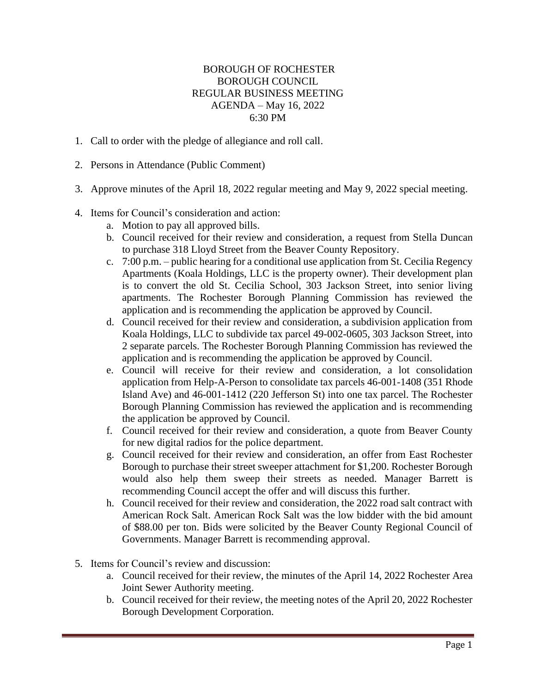## BOROUGH OF ROCHESTER BOROUGH COUNCIL REGULAR BUSINESS MEETING AGENDA – May 16, 2022 6:30 PM

- 1. Call to order with the pledge of allegiance and roll call.
- 2. Persons in Attendance (Public Comment)
- 3. Approve minutes of the April 18, 2022 regular meeting and May 9, 2022 special meeting.
- 4. Items for Council's consideration and action:
	- a. Motion to pay all approved bills.
	- b. Council received for their review and consideration, a request from Stella Duncan to purchase 318 Lloyd Street from the Beaver County Repository.
	- c. 7:00 p.m. public hearing for a conditional use application from St. Cecilia Regency Apartments (Koala Holdings, LLC is the property owner). Their development plan is to convert the old St. Cecilia School, 303 Jackson Street, into senior living apartments. The Rochester Borough Planning Commission has reviewed the application and is recommending the application be approved by Council.
	- d. Council received for their review and consideration, a subdivision application from Koala Holdings, LLC to subdivide tax parcel 49-002-0605, 303 Jackson Street, into 2 separate parcels. The Rochester Borough Planning Commission has reviewed the application and is recommending the application be approved by Council.
	- e. Council will receive for their review and consideration, a lot consolidation application from Help-A-Person to consolidate tax parcels 46-001-1408 (351 Rhode Island Ave) and 46-001-1412 (220 Jefferson St) into one tax parcel. The Rochester Borough Planning Commission has reviewed the application and is recommending the application be approved by Council.
	- f. Council received for their review and consideration, a quote from Beaver County for new digital radios for the police department.
	- g. Council received for their review and consideration, an offer from East Rochester Borough to purchase their street sweeper attachment for \$1,200. Rochester Borough would also help them sweep their streets as needed. Manager Barrett is recommending Council accept the offer and will discuss this further.
	- h. Council received for their review and consideration, the 2022 road salt contract with American Rock Salt. American Rock Salt was the low bidder with the bid amount of \$88.00 per ton. Bids were solicited by the Beaver County Regional Council of Governments. Manager Barrett is recommending approval.
- 5. Items for Council's review and discussion:
	- a. Council received for their review, the minutes of the April 14, 2022 Rochester Area Joint Sewer Authority meeting.
	- b. Council received for their review, the meeting notes of the April 20, 2022 Rochester Borough Development Corporation.